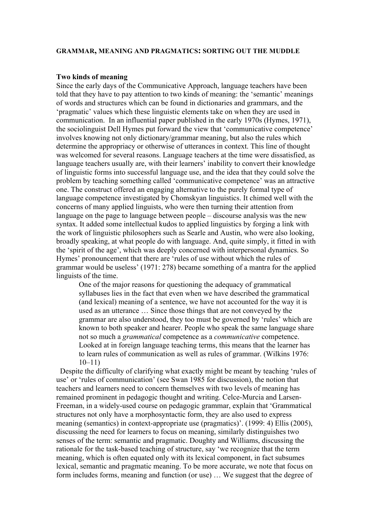#### **GRAMMAR, MEANING AND PRAGMATICS: SORTING OUT THE MUDDLE**

#### **Two kinds of meaning**

Since the early days of the Communicative Approach, language teachers have been told that they have to pay attention to two kinds of meaning: the 'semantic' meanings of words and structures which can be found in dictionaries and grammars, and the 'pragmatic' values which these linguistic elements take on when they are used in communication. In an influential paper published in the early 1970s (Hymes, 1971), the sociolinguist Dell Hymes put forward the view that 'communicative competence' involves knowing not only dictionary/grammar meaning, but also the rules which determine the appropriacy or otherwise of utterances in context. This line of thought was welcomed for several reasons. Language teachers at the time were dissatisfied, as language teachers usually are, with their learners' inability to convert their knowledge of linguistic forms into successful language use, and the idea that they could solve the problem by teaching something called 'communicative competence' was an attractive one. The construct offered an engaging alternative to the purely formal type of language competence investigated by Chomskyan linguistics. It chimed well with the concerns of many applied linguists, who were then turning their attention from language on the page to language between people – discourse analysis was the new syntax. It added some intellectual kudos to applied linguistics by forging a link with the work of linguistic philosophers such as Searle and Austin, who were also looking, broadly speaking, at what people do with language. And, quite simply, it fitted in with the 'spirit of the age', which was deeply concerned with interpersonal dynamics. So Hymes' pronouncement that there are 'rules of use without which the rules of grammar would be useless' (1971: 278) became something of a mantra for the applied linguists of the time.

One of the major reasons for questioning the adequacy of grammatical syllabuses lies in the fact that even when we have described the grammatical (and lexical) meaning of a sentence, we have not accounted for the way it is used as an utterance … Since those things that are not conveyed by the grammar are also understood, they too must be governed by 'rules' which are known to both speaker and hearer. People who speak the same language share not so much a *grammatical* competence as a *communicative* competence. Looked at in foreign language teaching terms, this means that the learner has to learn rules of communication as well as rules of grammar. (Wilkins 1976: 10–11)

 Despite the difficulty of clarifying what exactly might be meant by teaching 'rules of use' or 'rules of communication' (see Swan 1985 for discussion), the notion that teachers and learners need to concern themselves with two levels of meaning has remained prominent in pedagogic thought and writing. Celce-Murcia and Larsen-Freeman, in a widely-used course on pedagogic grammar, explain that 'Grammatical structures not only have a morphosyntactic form, they are also used to express meaning (semantics) in context-appropriate use (pragmatics)'. (1999: 4) Ellis (2005), discussing the need for learners to focus on meaning, similarly distinguishes two senses of the term: semantic and pragmatic. Doughty and Williams, discussing the rationale for the task-based teaching of structure, say 'we recognize that the term meaning, which is often equated only with its lexical component, in fact subsumes lexical, semantic and pragmatic meaning. To be more accurate, we note that focus on form includes forms, meaning and function (or use) … We suggest that the degree of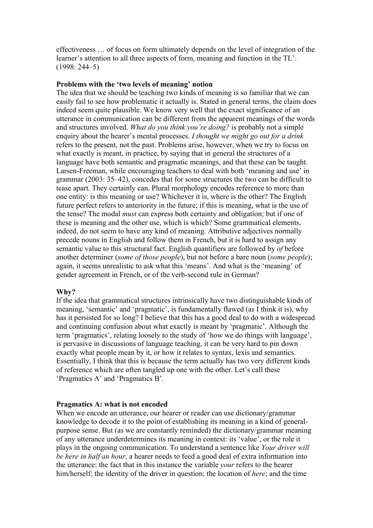effectiveness … of focus on form ultimately depends on the level of integration of the learner's attention to all three aspects of form, meaning and function in the TL'. (1998: 244–5)

### **Problems with the 'two levels of meaning' notion**

The idea that we should be teaching two kinds of meaning is so familiar that we can easily fail to see how problematic it actually is. Stated in general terms, the claim does indeed seem quite plausible. We know very well that the exact significance of an utterance in communication can be different from the apparent meanings of the words and structures involved. *What do you think you're doing?* is probably not a simple enquiry about the hearer's mental processes. *I thought we might go out for a drink* refers to the present, not the past. Problems arise, however, when we try to focus on what exactly is meant, in practice, by saying that in general the structures of a language have both semantic and pragmatic meanings, and that these can be taught. Larsen-Freeman, while encouraging teachers to deal with both 'meaning and use' in grammar (2003: 35–42), concedes that for some structures the two can be difficult to tease apart. They certainly can. Plural morphology encodes reference to more than one entity: is this meaning or use? Whichever it is, where is the other? The English future perfect refers to anteriority in the future; if this is meaning, what is the use of the tense? The modal *must* can express both certainty and obligation; but if one of these is meaning and the other use, which is which? Some grammatical elements, indeed, do not seem to have any kind of meaning. Attributive adjectives normally precede nouns in English and follow them in French, but it is hard to assign any semantic value to this structural fact. English quantifiers are followed by *of* before another determiner (*some of those people*), but not before a bare noun (*some people*); again, it seems unrealistic to ask what this 'means'. And what is the 'meaning' of gender agreement in French, or of the verb-second rule in German?

#### **Why?**

If the idea that grammatical structures intrinsically have two distinguishable kinds of meaning, 'semantic' and 'pragmatic', is fundamentally flawed (as I think it is), why has it persisted for so long? I believe that this has a good deal to do with a widespread and continuing confusion about what exactly is meant by 'pragmatic'. Although the term 'pragmatics', relating loosely to the study of 'how we do things with language', is pervasive in discussions of language teaching, it can be very hard to pin down exactly what people mean by it, or how it relates to syntax, lexis and semantics. Essentially, I think that this is because the term actually has two very different kinds of reference which are often tangled up one with the other. Let's call these 'Pragmatics A' and 'Pragmatics B'.

### **Pragmatics A: what is not encoded**

When we encode an utterance, our hearer or reader can use dictionary/grammar knowledge to decode it to the point of establishing its meaning in a kind of generalpurpose sense. But (as we are constantly reminded) the dictionary/grammar meaning of any utterance underdetermines its meaning in context: its 'value', or the role it plays in the ongoing communication. To understand a sentence like *Your driver will be here in half an hour*, a hearer needs to feed a good deal of extra information into the utterance: the fact that in this instance the variable *your* refers to the hearer him/herself; the identity of the driver in question; the location of *here*; and the time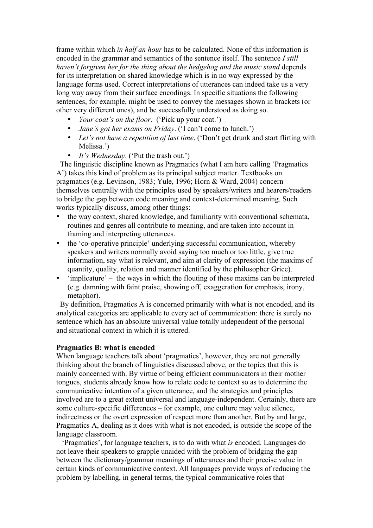frame within which *in half an hour* has to be calculated. None of this information is encoded in the grammar and semantics of the sentence itself. The sentence *I still haven't forgiven her for the thing about the hedgehog and the music stand* depends for its interpretation on shared knowledge which is in no way expressed by the language forms used. Correct interpretations of utterances can indeed take us a very long way away from their surface encodings. In specific situations the following sentences, for example, might be used to convey the messages shown in brackets (or other very different ones), and be successfully understood as doing so.

- *Your coat's on the floor.* ('Pick up your coat.')
- *Jane's got her exams on Friday*. ('I can't come to lunch.')
- *Let's not have a repetition of last time*. ('Don't get drunk and start flirting with Melissa.')
- *It's Wednesday*. ('Put the trash out.')

 The linguistic discipline known as Pragmatics (what I am here calling 'Pragmatics A') takes this kind of problem as its principal subject matter. Textbooks on pragmatics (e.g. Levinson, 1983; Yule, 1996; Horn & Ward, 2004) concern themselves centrally with the principles used by speakers/writers and hearers/readers to bridge the gap between code meaning and context-determined meaning. Such works typically discuss, among other things:

- the way context, shared knowledge, and familiarity with conventional schemata, routines and genres all contribute to meaning, and are taken into account in framing and interpreting utterances.
- the 'co-operative principle' underlying successful communication, whereby speakers and writers normally avoid saying too much or too little, give true information, say what is relevant, and aim at clarity of expression (the maxims of quantity, quality, relation and manner identified by the philosopher Grice).
- 'implicature' the ways in which the flouting of these maxims can be interpreted (e.g. damning with faint praise, showing off, exaggeration for emphasis, irony, metaphor).

 By definition, Pragmatics A is concerned primarily with what is not encoded, and its analytical categories are applicable to every act of communication: there is surely no sentence which has an absolute universal value totally independent of the personal and situational context in which it is uttered.

# **Pragmatics B: what is encoded**

When language teachers talk about 'pragmatics', however, they are not generally thinking about the branch of linguistics discussed above, or the topics that this is mainly concerned with. By virtue of being efficient communicators in their mother tongues, students already know how to relate code to context so as to determine the communicative intention of a given utterance, and the strategies and principles involved are to a great extent universal and language-independent. Certainly, there are some culture-specific differences – for example, one culture may value silence, indirectness or the overt expression of respect more than another. But by and large, Pragmatics A, dealing as it does with what is not encoded, is outside the scope of the language classroom.

 'Pragmatics', for language teachers, is to do with what *is* encoded. Languages do not leave their speakers to grapple unaided with the problem of bridging the gap between the dictionary/grammar meanings of utterances and their precise value in certain kinds of communicative context. All languages provide ways of reducing the problem by labelling, in general terms, the typical communicative roles that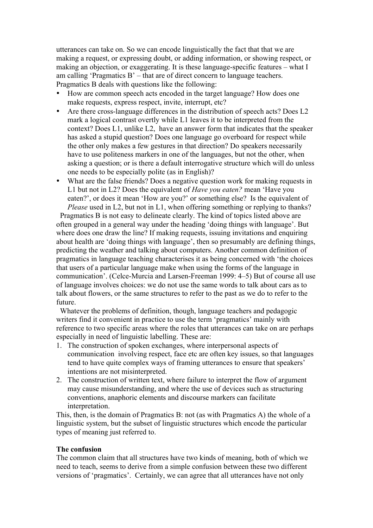utterances can take on. So we can encode linguistically the fact that that we are making a request, or expressing doubt, or adding information, or showing respect, or making an objection, or exaggerating. It is these language-specific features – what I am calling 'Pragmatics  $B'$  – that are of direct concern to language teachers. Pragmatics B deals with questions like the following:

- How are common speech acts encoded in the target language? How does one make requests, express respect, invite, interrupt, etc?
- Are there cross-language differences in the distribution of speech acts? Does L2 mark a logical contrast overtly while L1 leaves it to be interpreted from the context? Does L1, unlike L2, have an answer form that indicates that the speaker has asked a stupid question? Does one language go overboard for respect while the other only makes a few gestures in that direction? Do speakers necessarily have to use politeness markers in one of the languages, but not the other, when asking a question; or is there a default interrogative structure which will do unless one needs to be especially polite (as in English)?
- What are the false friends? Does a negative question work for making requests in L1 but not in L2? Does the equivalent of *Have you eaten?* mean 'Have you eaten?', or does it mean 'How are you?' or something else? Is the equivalent of *Please* used in L2, but not in L1, when offering something or replying to thanks?

Pragmatics B is not easy to delineate clearly. The kind of topics listed above are often grouped in a general way under the heading 'doing things with language'. But where does one draw the line? If making requests, issuing invitations and enquiring about health are 'doing things with language', then so presumably are defining things, predicting the weather and talking about computers. Another common definition of pragmatics in language teaching characterises it as being concerned with 'the choices that users of a particular language make when using the forms of the language in communication'. (Celce-Murcia and Larsen-Freeman 1999: 4–5) But of course all use of language involves choices: we do not use the same words to talk about cars as to talk about flowers, or the same structures to refer to the past as we do to refer to the future.

 Whatever the problems of definition, though, language teachers and pedagogic writers find it convenient in practice to use the term 'pragmatics' mainly with reference to two specific areas where the roles that utterances can take on are perhaps especially in need of linguistic labelling. These are:

- 1. The construction of spoken exchanges, where interpersonal aspects of communication involving respect, face etc are often key issues, so that languages tend to have quite complex ways of framing utterances to ensure that speakers' intentions are not misinterpreted.
- 2. The construction of written text, where failure to interpret the flow of argument may cause misunderstanding, and where the use of devices such as structuring conventions, anaphoric elements and discourse markers can facilitate interpretation.

This, then, is the domain of Pragmatics B: not (as with Pragmatics A) the whole of a linguistic system, but the subset of linguistic structures which encode the particular types of meaning just referred to.

# **The confusion**

The common claim that all structures have two kinds of meaning, both of which we need to teach, seems to derive from a simple confusion between these two different versions of 'pragmatics'. Certainly, we can agree that all utterances have not only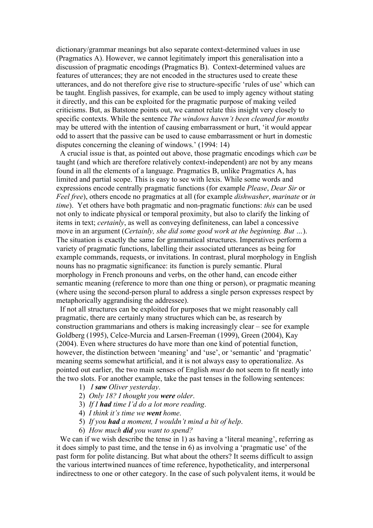dictionary/grammar meanings but also separate context-determined values in use (Pragmatics A). However, we cannot legitimately import this generalisation into a discussion of pragmatic encodings (Pragmatics B). Context-determined values are features of utterances; they are not encoded in the structures used to create these utterances, and do not therefore give rise to structure-specific 'rules of use' which can be taught. English passives, for example, can be used to imply agency without stating it directly, and this can be exploited for the pragmatic purpose of making veiled criticisms. But, as Batstone points out, we cannot relate this insight very closely to specific contexts. While the sentence *The windows haven't been cleaned for months* may be uttered with the intention of causing embarrassment or hurt, 'it would appear odd to assert that the passive can be used to cause embarrassment or hurt in domestic disputes concerning the cleaning of windows.' (1994: 14)

 A crucial issue is that, as pointed out above, those pragmatic encodings which *can* be taught (and which are therefore relatively context-independent) are not by any means found in all the elements of a language. Pragmatics B, unlike Pragmatics A, has limited and partial scope. This is easy to see with lexis. While some words and expressions encode centrally pragmatic functions (for example *Please*, *Dear Sir* or *Feel free*), others encode no pragmatics at all (for example *dishwasher*, *marinate* or *in time*). Yet others have both pragmatic and non-pragmatic functions: *this* can be used not only to indicate physical or temporal proximity, but also to clarify the linking of items in text; *certainly*, as well as conveying definiteness, can label a concessive move in an argument (*Certainly, she did some good work at the beginning. But …*). The situation is exactly the same for grammatical structures. Imperatives perform a variety of pragmatic functions, labelling their associated utterances as being for example commands, requests, or invitations. In contrast, plural morphology in English nouns has no pragmatic significance: its function is purely semantic. Plural morphology in French pronouns and verbs, on the other hand, can encode either semantic meaning (reference to more than one thing or person), or pragmatic meaning (where using the second-person plural to address a single person expresses respect by metaphorically aggrandising the addressee).

 If not all structures can be exploited for purposes that we might reasonably call pragmatic, there are certainly many structures which can be, as research by construction grammarians and others is making increasingly clear – see for example Goldberg (1995), Celce-Murcia and Larsen-Freeman (1999), Green (2004), Kay (2004). Even where structures do have more than one kind of potential function, however, the distinction between 'meaning' and 'use', or 'semantic' and 'pragmatic' meaning seems somewhat artificial, and it is not always easy to operationalize. As pointed out earlier, the two main senses of English *must* do not seem to fit neatly into the two slots. For another example, take the past tenses in the following sentences:

- 1) *I saw Oliver yesterday*.
- 2) *Only 18? I thought you were older*.
- 3) *If I had time I'd do a lot more reading*.
- 4) *I think it's time we went home*.
- 5) *If you had a moment, I wouldn't mind a bit of help*.
- 6) *How much did you want to spend?*

We can if we wish describe the tense in 1) as having a 'literal meaning', referring as it does simply to past time, and the tense in 6) as involving a 'pragmatic use' of the past form for polite distancing. But what about the others? It seems difficult to assign the various intertwined nuances of time reference, hypotheticality, and interpersonal indirectness to one or other category. In the case of such polyvalent items, it would be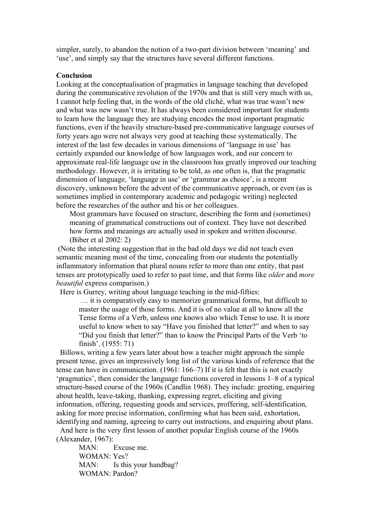simpler, surely, to abandon the notion of a two-part division between 'meaning' and 'use', and simply say that the structures have several different functions.

#### **Conclusion**

Looking at the conceptualisation of pragmatics in language teaching that developed during the communicative revolution of the 1970s and that is still very much with us, I cannot help feeling that, in the words of the old cliché, what was true wasn't new and what was new wasn't true. It has always been considered important for students to learn how the language they are studying encodes the most important pragmatic functions, even if the heavily structure-based pre-communicative language courses of forty years ago were not always very good at teaching these systematically. The interest of the last few decades in various dimensions of 'language in use' has certainly expanded our knowledge of how languages work, and our concern to approximate real-life language use in the classroom has greatly improved our teaching methodology. However, it is irritating to be told, as one often is, that the pragmatic dimension of language, 'language in use' or 'grammar as choice', is a recent discovery, unknown before the advent of the communicative approach, or even (as is sometimes implied in contemporary academic and pedagogic writing) neglected before the researches of the author and his or her colleagues.

Most grammars have focused on structure, describing the form and (sometimes) meaning of grammatical constructions out of context. They have not described how forms and meanings are actually used in spoken and written discourse. (Biber et al 2002: 2)

(Note the interesting suggestion that in the bad old days we did not teach even semantic meaning most of the time, concealing from our students the potentially inflammatory information that plural nouns refer to more than one entity, that past tenses are prototypically used to refer to past time, and that forms like *older* and *more beautiful* express comparison.)

Here is Gurrey, writing about language teaching in the mid-fifties:

… it is comparatively easy to memorize grammatical forms, but difficult to master the usage of those forms. And it is of no value at all to know all the Tense forms of a Verb, unless one knows also which Tense to use. It is more useful to know when to say "Have you finished that letter?" and when to say "Did you finish that letter?" than to know the Principal Parts of the Verb 'to finish'. (1955: 71)

 Billows, writing a few years later about how a teacher might approach the simple present tense, gives an impressively long list of the various kinds of reference that the tense can have in communication. (1961: 166–7) If it is felt that this is not exactly 'pragmatics', then consider the language functions covered in lessons 1–8 of a typical structure-based course of the 1960s (Candlin 1968). They include: greeting, enquiring about health, leave-taking, thanking, expressing regret, eliciting and giving information, offering, requesting goods and services, proffering, self-identification, asking for more precise information, confirming what has been said, exhortation, identifying and naming, agreeing to carry out instructions, and enquiring about plans.

 And here is the very first lesson of another popular English course of the 1960s (Alexander, 1967):

MAN: Excuse me. WOMAN: Yes? MAN: Is this your handbag? WOMAN: Pardon?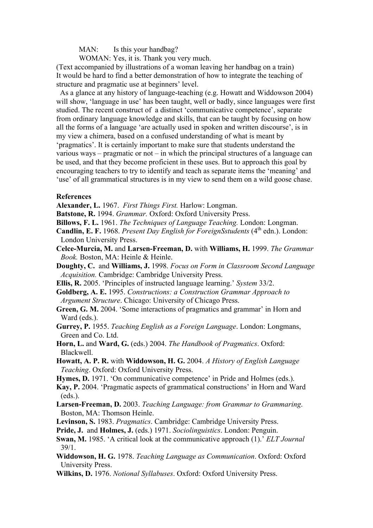MAN: Is this your handbag?

WOMAN: Yes, it is. Thank you very much.

(Text accompanied by illustrations of a woman leaving her handbag on a train) It would be hard to find a better demonstration of how to integrate the teaching of structure and pragmatic use at beginners' level.

 As a glance at any history of language-teaching (e.g. Howatt and Widdowson 2004) will show, 'language in use' has been taught, well or badly, since languages were first studied. The recent construct of a distinct 'communicative competence', separate from ordinary language knowledge and skills, that can be taught by focusing on how all the forms of a language 'are actually used in spoken and written discourse', is in my view a chimera, based on a confused understanding of what is meant by 'pragmatics'. It is certainly important to make sure that students understand the various ways – pragmatic or not – in which the principal structures of a language can be used, and that they become proficient in these uses. But to approach this goal by encouraging teachers to try to identify and teach as separate items the 'meaning' and 'use' of all grammatical structures is in my view to send them on a wild goose chase.

### **References**

**Alexander, L.** 1967. *First Things First.* Harlow: Longman.

**Batstone, R.** 1994. *Grammar.* Oxford: Oxford University Press.

**Billows, F. L.** 1961. *The Techniques of Language Teaching.* London: Longman.

**Candlin, E. F.** 1968. *Present Day English for ForeignSstudents* (4<sup>th</sup> edn.). London: London University Press.

**Celce-Murcia, M.** and **Larsen-Freeman, D.** with **Williams, H.** 1999. *The Grammar Book.* Boston, MA: Heinle & Heinle.

**Doughty, C.** and **Williams, J.** 1998. *Focus on Form in Classroom Second Language Acquisition.* Cambridge: Cambridge University Press.

**Ellis, R.** 2005. 'Principles of instructed language learning.' *System* 33/2.

**Goldberg, A. E.** 1995. *Constructions: a Construction Grammar Approach to Argument Structure*. Chicago: University of Chicago Press.

**Green, G. M.** 2004. 'Some interactions of pragmatics and grammar' in Horn and Ward (eds.).

**Gurrey, P.** 1955. *Teaching English as a Foreign Language*. London: Longmans, Green and Co. Ltd.

**Horn, L.** and **Ward, G.** (eds.) 2004. *The Handbook of Pragmatics*. Oxford: Blackwell.

**Howatt, A. P. R.** with **Widdowson, H. G.** 2004. *A History of English Language Teaching*. Oxford: Oxford University Press.

**Hymes, D.** 1971. 'On communicative competence' in Pride and Holmes (eds.).

**Kay, P.** 2004. 'Pragmatic aspects of grammatical constructions' in Horn and Ward (eds.).

- **Larsen-Freeman, D.** 2003. *Teaching Language: from Grammar to Grammaring*. Boston, MA: Thomson Heinle.
- **Levinson, S.** 1983. *Pragmatics*. Cambridge: Cambridge University Press.
- **Pride, J.** and **Holmes, J.** (eds.) 1971. *Sociolinguistics*. London: Penguin.

**Swan, M.** 1985. 'A critical look at the communicative approach (1).' *ELT Journal*  39/1.

**Widdowson, H. G.** 1978. *Teaching Language as Communication*. Oxford: Oxford University Press.

**Wilkins, D.** 1976. *Notional Syllabuses*. Oxford: Oxford University Press.